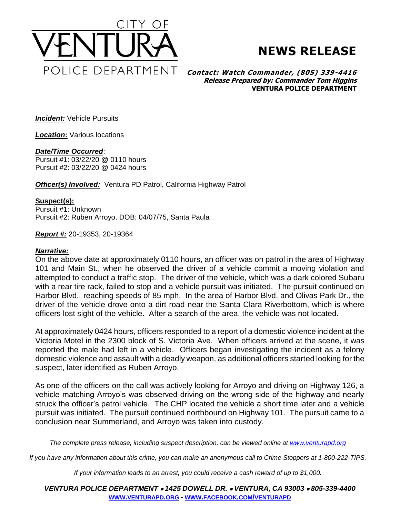

## **NEWS RELEASE**

**Contact: Watch Commander, (805) 339-4416 Release Prepared by: Commander Tom Higgins VENTURA POLICE DEPARTMENT**

*Incident:* Vehicle Pursuits

*Location***:** Various locations

## *Date/Time Occurred*:

Pursuit #1: 03/22/20 @ 0110 hours Pursuit #2: 03/22/20 @ 0424 hours

*Officer(s) Involved: Ventura PD Patrol, California Highway Patrol* 

## **Suspect(s):**

Pursuit #1: Unknown Pursuit #2: Ruben Arroyo, DOB: 04/07/75, Santa Paula

*Report #:* 20-19353, 20-19364

## *Narrative:*

On the above date at approximately 0110 hours, an officer was on patrol in the area of Highway 101 and Main St., when he observed the driver of a vehicle commit a moving violation and attempted to conduct a traffic stop. The driver of the vehicle, which was a dark colored Subaru with a rear tire rack, failed to stop and a vehicle pursuit was initiated. The pursuit continued on Harbor Blvd., reaching speeds of 85 mph. In the area of Harbor Blvd. and Olivas Park Dr., the driver of the vehicle drove onto a dirt road near the Santa Clara Riverbottom, which is where officers lost sight of the vehicle. After a search of the area, the vehicle was not located.

At approximately 0424 hours, officers responded to a report of a domestic violence incident at the Victoria Motel in the 2300 block of S. Victoria Ave. When officers arrived at the scene, it was reported the male had left in a vehicle. Officers began investigating the incident as a felony domestic violence and assault with a deadly weapon, as additional officers started looking for the suspect, later identified as Ruben Arroyo.

As one of the officers on the call was actively looking for Arroyo and driving on Highway 126, a vehicle matching Arroyo's was observed driving on the wrong side of the highway and nearly struck the officer's patrol vehicle. The CHP located the vehicle a short time later and a vehicle pursuit was initiated. The pursuit continued northbound on Highway 101. The pursuit came to a conclusion near Summerland, and Arroyo was taken into custody.

*The complete press release, including suspect description, can be viewed online at [www.venturapd.org](http://www.venturapd.org/)*

*If you have any information about this crime, you can make an anonymous call to Crime Stoppers at 1-800-222-TIPS.*

*If your information leads to an arrest, you could receive a cash reward of up to \$1,000.*

*VENTURA POLICE DEPARTMENT 1425 DOWELL DR. VENTURA, CA 93003 805-339-4400* **WWW.[VENTURAPD](http://www.venturapd.org/).ORG** *-* **WWW.FACEBOOK.COM/[VENTURAPD](http://www.facebook.com/venturapd)**